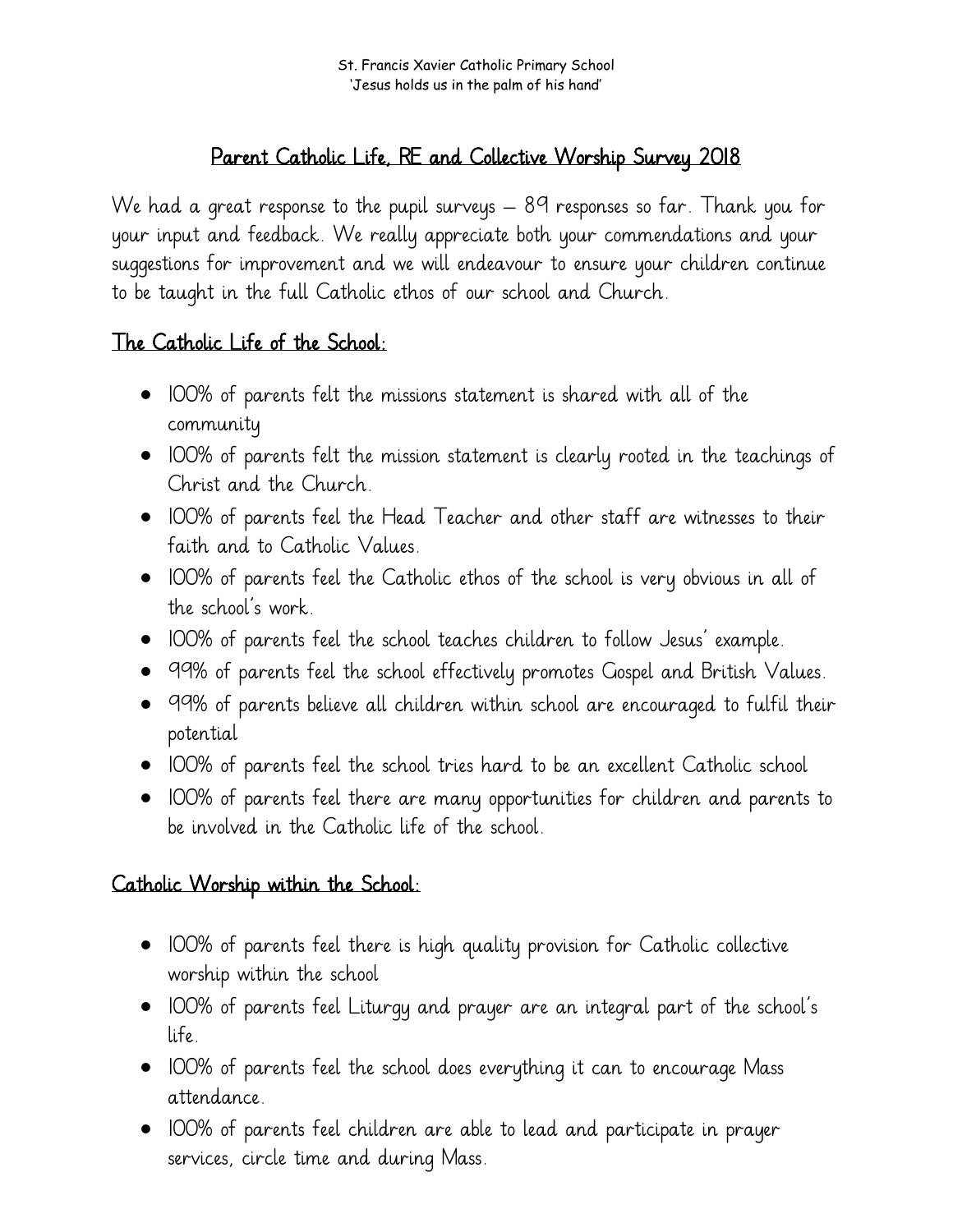St. Francis Xavier Catholic Primary School 'Jesus holds us in the palm of his hand'

## Parent Catholic Life, RE and Collective Worship Survey 2018

We had a great response to the pupil surveys – 89 responses so far. Thank you for your input and feedback. We really appreciate both your commendations and your suggestions for improvement and we will endeavour to ensure your children continue to be taught in the full Catholic ethos of our school and Church.

## The Catholic Life of the School:

- 100% of parents felt the missions statement is shared with all of the community
- 100% of parents felt the mission statement is clearly rooted in the teachings of Christ and the Church.
- 100% of parents feel the Head Teacher and other staff are witnesses to their faith and to Catholic Values.
- 100% of parents feel the Catholic ethos of the school is very obvious in all of the school's work.
- 100% of parents feel the school teaches children to follow Jesus' example.
- 99% of parents feel the school effectively promotes Gospel and British Values.
- 99% of parents believe all children within school are encouraged to fulfil their potential
- 100% of parents feel the school tries hard to be an excellent Catholic school
- 100% of parents feel there are many opportunities for children and parents to be involved in the Catholic life of the school.

## Catholic Worship within the School:

- 100% of parents feel there is high quality provision for Catholic collective worship within the school
- 100% of parents feel Liturgy and prayer are an integral part of the school's life.
- 100% of parents feel the school does everything it can to encourage Mass attendance.
- 100% of parents feel children are able to lead and participate in prayer services, circle time and during Mass.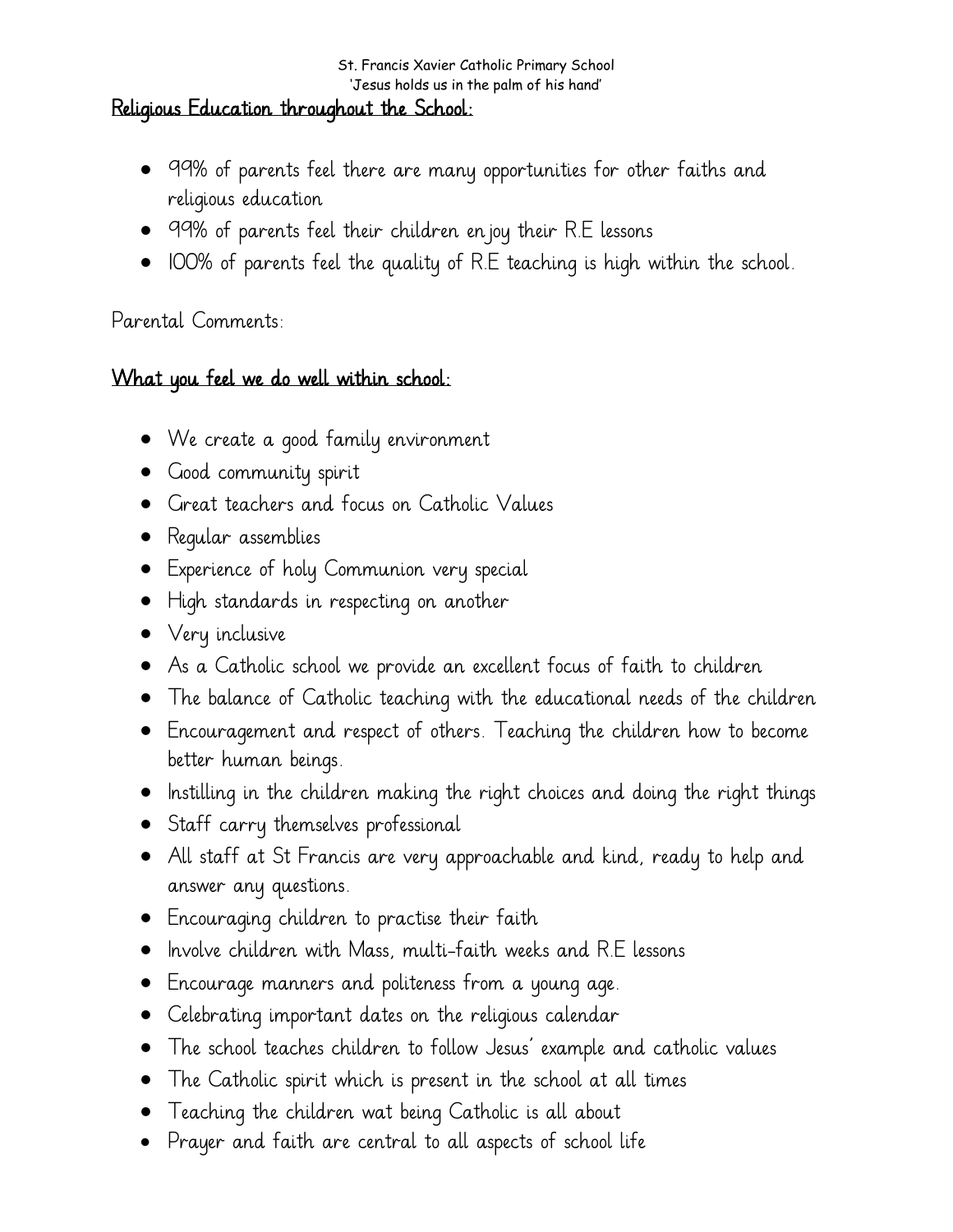#### St. Francis Xavier Catholic Primary School 'Jesus holds us in the palm of his hand'

#### Religious Education throughout the School:

- 99% of parents feel there are many opportunities for other faiths and religious education
- 99% of parents feel their children enjoy their R.E lessons
- 100% of parents feel the quality of R.E teaching is high within the school.

### Parental Comments:

### What you feel we do well within school:

- We create a good family environment
- Good community spirit
- Great teachers and focus on Catholic Values
- **•** Reqular assemblies
- Experience of holy Communion very special
- High standards in respecting on another
- Very inclusive
- As a Catholic school we provide an excellent focus of faith to children
- The balance of Catholic teaching with the educational needs of the children
- Encouragement and respect of others. Teaching the children how to become better human beings.
- $\bullet$  Instilling in the children making the right choices and doing the right things
- Staff carry themselves professional
- All staff at St Francis are very approachable and kind, ready to help and answer any questions.
- Encouraging children to practise their faith
- $\bullet$  Involve children with Mass, multi-faith weeks and R.E lessons
- Encourage manners and politeness from a young age.
- Celebrating important dates on the religious calendar
- The school teaches children to follow Jesus' example and catholic values
- The Catholic spirit which is present in the school at all times
- Teaching the children wat being Catholic is all about
- Prayer and faith are central to all aspects of school life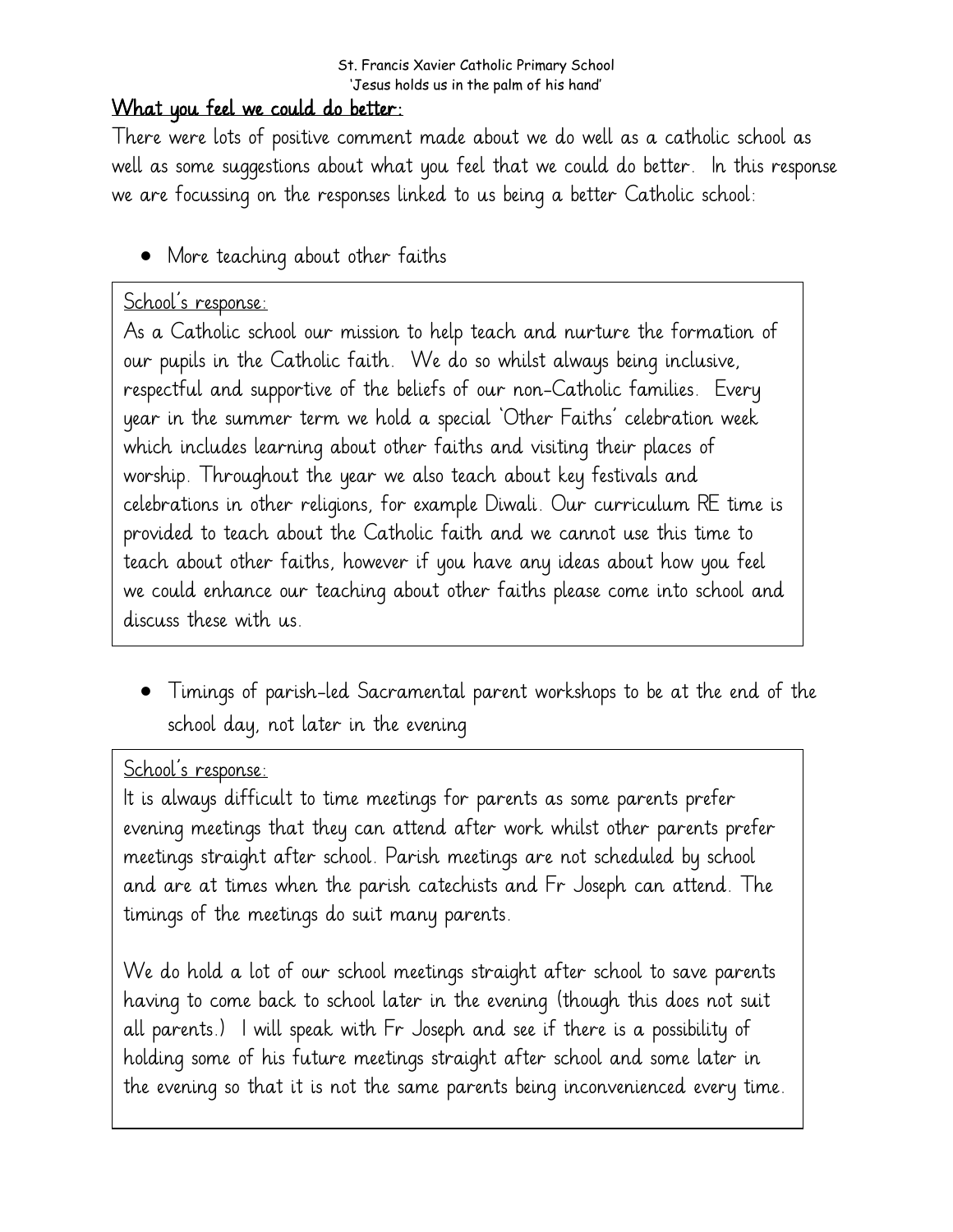### What you feel we could do better:

There were lots of positive comment made about we do well as a catholic school as well as some suggestions about what you feel that we could do better. In this response we are focussing on the responses linked to us being a better Catholic school:

• More teaching about other faiths

# School's response:

As a Catholic school our mission to help teach and nurture the formation of our pupils in the Catholic faith. We do so whilst always being inclusive, respectful and supportive of the beliefs of our non-Catholic families. Every year in the summer term we hold a special 'Other Faiths' celebration week which includes learning about other faiths and visiting their places of worship. Throughout the year we also teach about key festivals and celebrations in other religions, for example Diwali. Our curriculum RE time is provided to teach about the Catholic faith and we cannot use this time to teach about other faiths, however if you have any ideas about how you feel we could enhance our teaching about other faiths please come into school and discuss these with us.

 Timings of parish-led Sacramental parent workshops to be at the end of the school day, not later in the evening

### School's response:

It is always difficult to time meetings for parents as some parents prefer evening meetings that they can attend after work whilst other parents prefer meetings straight after school. Parish meetings are not scheduled by school and are at times when the parish catechists and Fr Joseph can attend. The timings of the meetings do suit many parents.

We do hold a lot of our school meetings straight after school to save parents having to come back to school later in the evening (though this does not suit all parents.) I will speak with Fr Joseph and see if there is a possibility of holding some of his future meetings straight after school and some later in the evening so that it is not the same parents being inconvenienced every time.